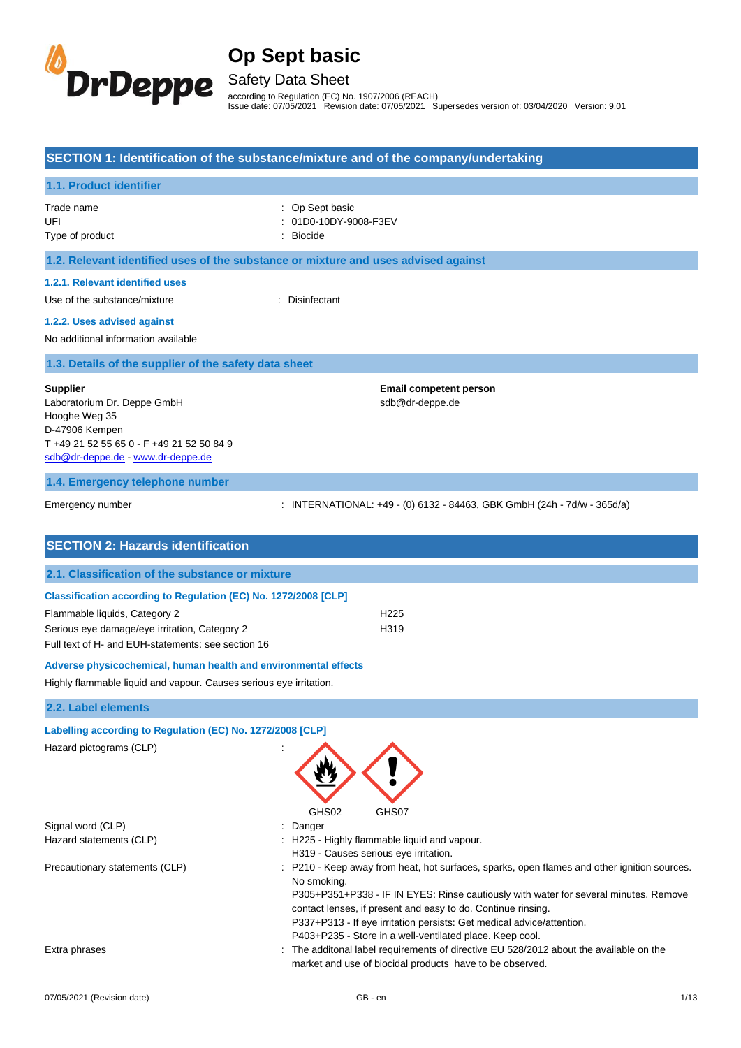

## Safety Data Sheet

according to Regulation (EC) No. 1907/2006 (REACH) Issue date: 07/05/2021 Revision date: 07/05/2021 Supersedes version of: 03/04/2020 Version: 9.01

#### **SECTION 1: Identification of the substance/mixture and of the company/undertaking**

### **1.1. Product identifier**

Trade name  $\qquad \qquad :$  Op Sept basic

- 
- UFI : 01D0-10DY-9008-F3EV
- Type of product and the state of the state of the Biocide in the state of the Biocide

## **1.2. Relevant identified uses of the substance or mixture and uses advised against**

### **1.2.1. Relevant identified uses**

Use of the substance/mixture in the substance/mixture in the substance of the substance of the substance of the substance of the substance of the substance of the substance of the substance of the substance of the substanc

#### **1.2.2. Uses advised against**

No additional information available

#### **1.3. Details of the supplier of the safety data sheet**

#### **Supplier**

Laboratorium Dr. Deppe GmbH Hooghe Weg 35 D-47906 Kempen T +49 21 52 55 65 0 - F +49 21 52 50 84 9 sdb@dr-deppe.de - www.dr-deppe.de

**Email competent person** sdb@dr-deppe.de

### **1.4. Emergency telephone number**

Emergency number : INTERNATIONAL: +49 - (0) 6132 - 84463, GBK GmbH (24h - 7d/w - 365d/a)

| <b>SECTION 2: Hazards identification</b>                               |                  |  |
|------------------------------------------------------------------------|------------------|--|
| 2.1. Classification of the substance or mixture                        |                  |  |
| <b>Classification according to Regulation (EC) No. 1272/2008 [CLP]</b> |                  |  |
| Flammable liquids, Category 2                                          | H <sub>225</sub> |  |
| Serious eye damage/eye irritation, Category 2                          | H319             |  |
| Full text of H- and EUH-statements: see section 16                     |                  |  |
| Adverse physicochemical, human health and environmental effects        |                  |  |

### Highly flammable liquid and vapour. Causes serious eye irritation.

#### **2.2. Label elements**

| Labelling according to Regulation (EC) No. 1272/2008 [CLP] |                                                                                                                                                                                                                                                                                                                                                                                                       |
|------------------------------------------------------------|-------------------------------------------------------------------------------------------------------------------------------------------------------------------------------------------------------------------------------------------------------------------------------------------------------------------------------------------------------------------------------------------------------|
| Hazard pictograms (CLP)                                    | GHS02<br>GHS07                                                                                                                                                                                                                                                                                                                                                                                        |
| Signal word (CLP)                                          | Danger                                                                                                                                                                                                                                                                                                                                                                                                |
| Hazard statements (CLP)                                    | H225 - Highly flammable liquid and vapour.<br>H319 - Causes serious eye irritation.                                                                                                                                                                                                                                                                                                                   |
| Precautionary statements (CLP)                             | P210 - Keep away from heat, hot surfaces, sparks, open flames and other ignition sources.<br>No smoking.<br>P305+P351+P338 - IF IN EYES: Rinse cautiously with water for several minutes. Remove<br>contact lenses, if present and easy to do. Continue rinsing.<br>P337+P313 - If eye irritation persists: Get medical advice/attention.<br>P403+P235 - Store in a well-ventilated place. Keep cool. |
| Extra phrases                                              | : The additonal label requirements of directive EU 528/2012 about the available on the<br>market and use of biocidal products have to be observed.                                                                                                                                                                                                                                                    |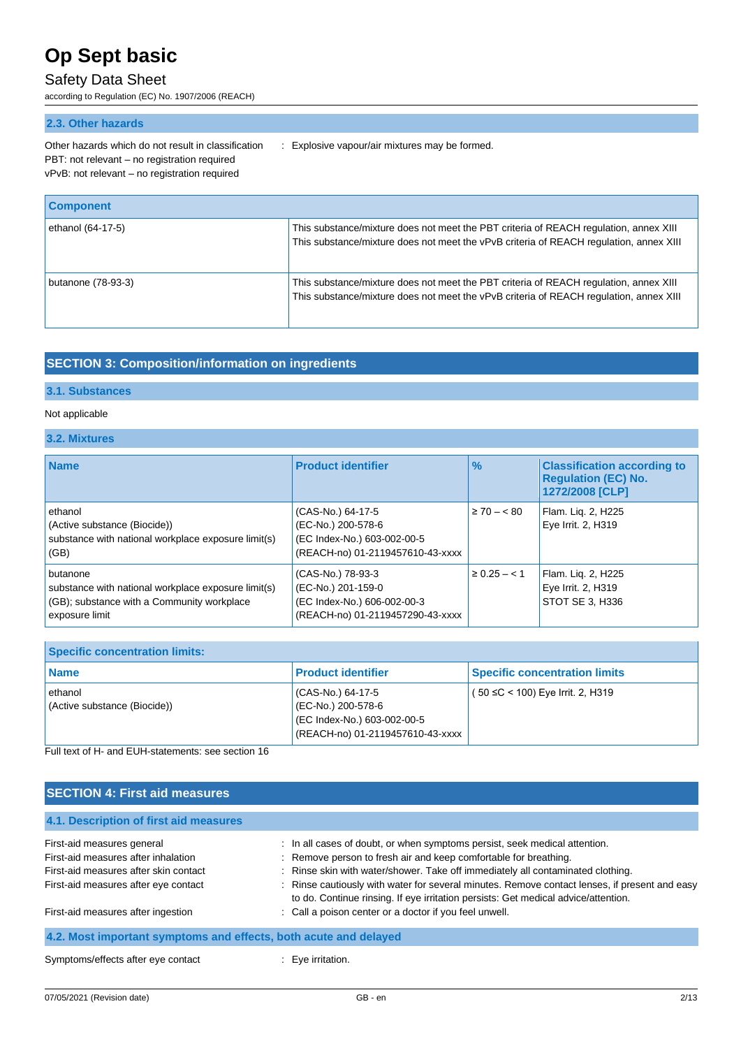## Safety Data Sheet

according to Regulation (EC) No. 1907/2006 (REACH)

## **2.3. Other hazards**

PBT: not relevant – no registration required vPvB: not relevant – no registration required

Other hazards which do not result in classification : Explosive vapour/air mixtures may be formed.

| <b>Component</b>   |                                                                                                                                                                                 |
|--------------------|---------------------------------------------------------------------------------------------------------------------------------------------------------------------------------|
| ethanol (64-17-5)  | This substance/mixture does not meet the PBT criteria of REACH regulation, annex XIII<br>This substance/mixture does not meet the vPvB criteria of REACH regulation, annex XIII |
| butanone (78-93-3) | This substance/mixture does not meet the PBT criteria of REACH regulation, annex XIII<br>This substance/mixture does not meet the vPvB criteria of REACH regulation, annex XIII |

## **SECTION 3: Composition/information on ingredients**

### **3.1. Substances**

### Not applicable

### **3.2. Mixtures**

| <b>Name</b>                                                                                                                     | <b>Product identifier</b>                                                                                  | $\frac{9}{6}$    | <b>Classification according to</b><br><b>Regulation (EC) No.</b><br>1272/2008 [CLP] |
|---------------------------------------------------------------------------------------------------------------------------------|------------------------------------------------------------------------------------------------------------|------------------|-------------------------------------------------------------------------------------|
| ethanol<br>(Active substance (Biocide))<br>substance with national workplace exposure limit(s)<br>(GB)                          | (CAS-No.) 64-17-5<br>(EC-No.) 200-578-6<br>(EC Index-No.) 603-002-00-5<br>(REACH-no) 01-2119457610-43-xxxx | $\geq 70 - < 80$ | Flam. Lig. 2, H225<br>Eye Irrit. 2, H319                                            |
| butanone<br>substance with national workplace exposure limit(s)<br>(GB); substance with a Community workplace<br>exposure limit | (CAS-No.) 78-93-3<br>(EC-No.) 201-159-0<br>(EC Index-No.) 606-002-00-3<br>(REACH-no) 01-2119457290-43-xxxx | $\geq 0.25 - 1$  | Flam. Lig. 2, H225<br>Eye Irrit. 2, H319<br>STOT SE 3, H336                         |

| <b>Specific concentration limits:</b>   |                                                                                                              |                                      |  |
|-----------------------------------------|--------------------------------------------------------------------------------------------------------------|--------------------------------------|--|
| <b>Name</b>                             | <b>Product identifier</b>                                                                                    | <b>Specific concentration limits</b> |  |
| ethanol<br>(Active substance (Biocide)) | l (CAS-No.) 64-17-5<br>(EC-No.) 200-578-6<br>(EC Index-No.) 603-002-00-5<br>(REACH-no) 01-2119457610-43-xxxx | ( 50 ≤C < 100) Eye Irrit. 2, H319    |  |

Full text of H- and EUH-statements: see section 16

| <b>SECTION 4: First aid measures</b>                             |                                                                                                                                                                                     |  |
|------------------------------------------------------------------|-------------------------------------------------------------------------------------------------------------------------------------------------------------------------------------|--|
| 4.1. Description of first aid measures                           |                                                                                                                                                                                     |  |
| First-aid measures general                                       | : In all cases of doubt, or when symptoms persist, seek medical attention.                                                                                                          |  |
| First-aid measures after inhalation                              | : Remove person to fresh air and keep comfortable for breathing.                                                                                                                    |  |
| First-aid measures after skin contact                            | : Rinse skin with water/shower. Take off immediately all contaminated clothing.                                                                                                     |  |
| First-aid measures after eye contact                             | : Rinse cautiously with water for several minutes. Remove contact lenses, if present and easy<br>to do. Continue rinsing. If eye irritation persists: Get medical advice/attention. |  |
| First-aid measures after ingestion                               | : Call a poison center or a doctor if you feel unwell.                                                                                                                              |  |
| 4.2. Most important symptoms and effects, both acute and delayed |                                                                                                                                                                                     |  |
| Symptoms/effects after eye contact                               | $\therefore$ Eve irritation.                                                                                                                                                        |  |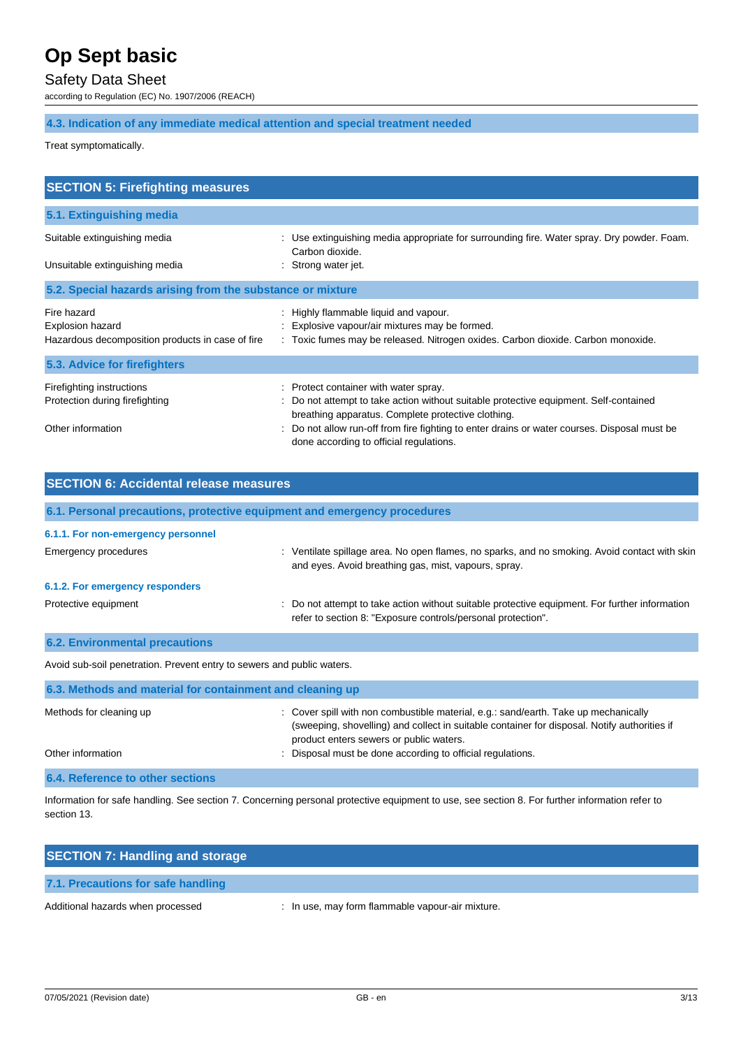## Safety Data Sheet

according to Regulation (EC) No. 1907/2006 (REACH)

## **4.3. Indication of any immediate medical attention and special treatment needed**

Treat symptomatically.

| <b>SECTION 5: Firefighting measures</b>                                             |                                                                                                                                                                                      |  |  |
|-------------------------------------------------------------------------------------|--------------------------------------------------------------------------------------------------------------------------------------------------------------------------------------|--|--|
| 5.1. Extinguishing media                                                            |                                                                                                                                                                                      |  |  |
| Suitable extinguishing media<br>Unsuitable extinguishing media                      | Use extinguishing media appropriate for surrounding fire. Water spray. Dry powder. Foam.<br>Carbon dioxide.<br>: Strong water jet.                                                   |  |  |
| 5.2. Special hazards arising from the substance or mixture                          |                                                                                                                                                                                      |  |  |
| Fire hazard<br>Explosion hazard<br>Hazardous decomposition products in case of fire | : Highly flammable liquid and vapour.<br>: Explosive vapour/air mixtures may be formed.<br>: Toxic fumes may be released. Nitrogen oxides. Carbon dioxide. Carbon monoxide.          |  |  |
| 5.3. Advice for firefighters                                                        |                                                                                                                                                                                      |  |  |
| Firefighting instructions<br>Protection during firefighting<br>Other information    | : Protect container with water spray.<br>: Do not attempt to take action without suitable protective equipment. Self-contained<br>breathing apparatus. Complete protective clothing. |  |  |
|                                                                                     | Do not allow run-off from fire fighting to enter drains or water courses. Disposal must be<br>done according to official regulations.                                                |  |  |

| <b>SECTION 6: Accidental release measures</b> |                                                                                                                                                       |  |  |
|-----------------------------------------------|-------------------------------------------------------------------------------------------------------------------------------------------------------|--|--|
|                                               | 6.1. Personal precautions, protective equipment and emergency procedures                                                                              |  |  |
| 6.1.1. For non-emergency personnel            |                                                                                                                                                       |  |  |
| Emergency procedures                          | : Ventilate spillage area. No open flames, no sparks, and no smoking. Avoid contact with skin<br>and eyes. Avoid breathing gas, mist, vapours, spray. |  |  |
| 6.1.2. For emergency responders               |                                                                                                                                                       |  |  |
| Protective equipment                          | : Do not attempt to take action without suitable protective equipment. For further information                                                        |  |  |

refer to section 8: "Exposure controls/personal protection".

Avoid sub-soil penetration. Prevent entry to sewers and public waters.

**6.2. Environmental precautions**

| 6.3. Methods and material for containment and cleaning up |                                                                                                                                                                                                                                |  |
|-----------------------------------------------------------|--------------------------------------------------------------------------------------------------------------------------------------------------------------------------------------------------------------------------------|--|
| Methods for cleaning up                                   | : Cover spill with non combustible material, e.g.: sand/earth. Take up mechanically<br>(sweeping, shovelling) and collect in suitable container for disposal. Notify authorities if<br>product enters sewers or public waters. |  |
| Other information                                         | Disposal must be done according to official regulations.                                                                                                                                                                       |  |
| 6.4. Reference to other sections                          |                                                                                                                                                                                                                                |  |

Information for safe handling. See section 7. Concerning personal protective equipment to use, see section 8. For further information refer to section 13.

| <b>SECTION 7: Handling and storage</b> |                                                  |
|----------------------------------------|--------------------------------------------------|
| 7.1. Precautions for safe handling     |                                                  |
| Additional hazards when processed      | : In use, may form flammable vapour-air mixture. |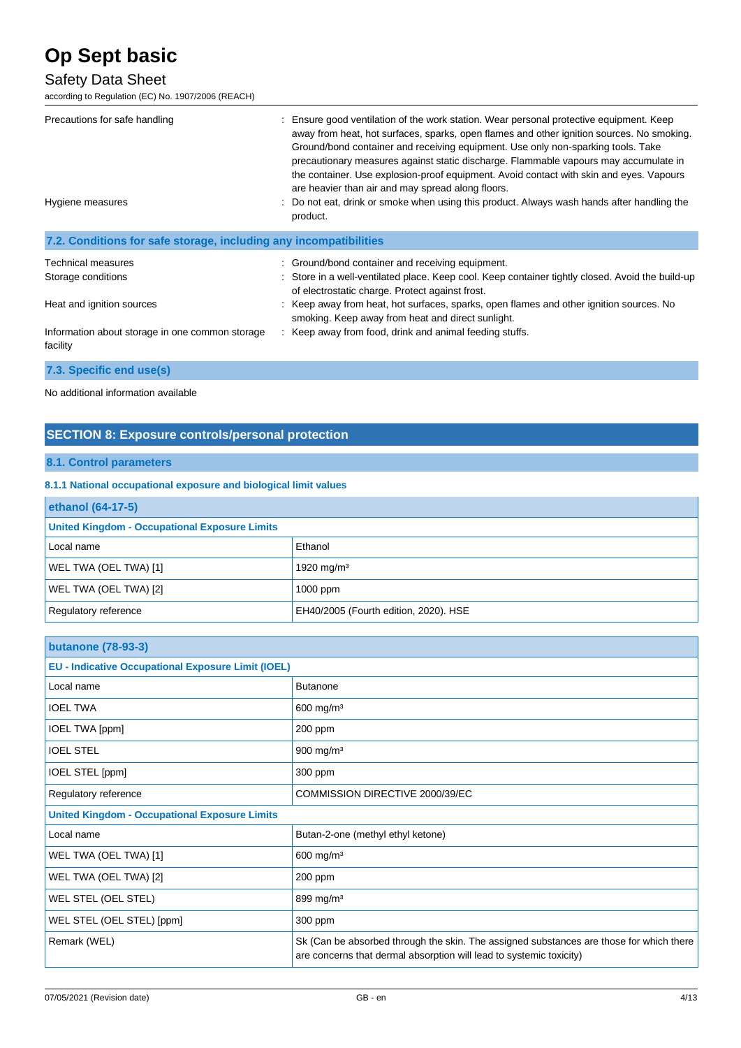## Safety Data Sheet

according to Regulation (EC) No. 1907/2006 (REACH)

| Precautions for safe handling<br>Hygiene measures                 | Ensure good ventilation of the work station. Wear personal protective equipment. Keep<br>away from heat, hot surfaces, sparks, open flames and other ignition sources. No smoking.<br>Ground/bond container and receiving equipment. Use only non-sparking tools. Take<br>precautionary measures against static discharge. Flammable vapours may accumulate in<br>the container. Use explosion-proof equipment. Avoid contact with skin and eyes. Vapours<br>are heavier than air and may spread along floors.<br>Do not eat, drink or smoke when using this product. Always wash hands after handling the<br>product. |
|-------------------------------------------------------------------|------------------------------------------------------------------------------------------------------------------------------------------------------------------------------------------------------------------------------------------------------------------------------------------------------------------------------------------------------------------------------------------------------------------------------------------------------------------------------------------------------------------------------------------------------------------------------------------------------------------------|
|                                                                   |                                                                                                                                                                                                                                                                                                                                                                                                                                                                                                                                                                                                                        |
| 7.2. Conditions for safe storage, including any incompatibilities |                                                                                                                                                                                                                                                                                                                                                                                                                                                                                                                                                                                                                        |
| <b>Technical measures</b>                                         | Ground/bond container and receiving equipment.                                                                                                                                                                                                                                                                                                                                                                                                                                                                                                                                                                         |
| Storage conditions                                                | : Store in a well-ventilated place. Keep cool. Keep container tightly closed. Avoid the build-up<br>of electrostatic charge. Protect against frost.                                                                                                                                                                                                                                                                                                                                                                                                                                                                    |
| Heat and ignition sources                                         | : Keep away from heat, hot surfaces, sparks, open flames and other ignition sources. No<br>smoking. Keep away from heat and direct sunlight.                                                                                                                                                                                                                                                                                                                                                                                                                                                                           |
| Information about storage in one common storage<br>facility       | : Keep away from food, drink and animal feeding stuffs.                                                                                                                                                                                                                                                                                                                                                                                                                                                                                                                                                                |

**7.3. Specific end use(s)**

No additional information available

## **SECTION 8: Exposure controls/personal protection**

## **8.1. Control parameters**

### **8.1.1 National occupational exposure and biological limit values**

| ethanol (64-17-5)                                    |                                       |  |
|------------------------------------------------------|---------------------------------------|--|
| <b>United Kingdom - Occupational Exposure Limits</b> |                                       |  |
| Local name                                           | Ethanol                               |  |
| WEL TWA (OEL TWA) [1]                                | 1920 mg/m $3$                         |  |
| WEL TWA (OEL TWA) [2]                                | 1000 ppm                              |  |
| Regulatory reference                                 | EH40/2005 (Fourth edition, 2020). HSE |  |

| <b>butanone (78-93-3)</b>                                 |                                                                                                                                                                |  |
|-----------------------------------------------------------|----------------------------------------------------------------------------------------------------------------------------------------------------------------|--|
| <b>EU - Indicative Occupational Exposure Limit (IOEL)</b> |                                                                                                                                                                |  |
| Local name                                                | <b>Butanone</b>                                                                                                                                                |  |
| <b>IOEL TWA</b>                                           | $600$ mg/m <sup>3</sup>                                                                                                                                        |  |
| IOEL TWA [ppm]                                            | 200 ppm                                                                                                                                                        |  |
| <b>IOEL STEL</b>                                          | 900 mg/m <sup>3</sup>                                                                                                                                          |  |
| IOEL STEL [ppm]                                           | 300 ppm                                                                                                                                                        |  |
| Regulatory reference                                      | COMMISSION DIRECTIVE 2000/39/EC                                                                                                                                |  |
| <b>United Kingdom - Occupational Exposure Limits</b>      |                                                                                                                                                                |  |
| Local name                                                | Butan-2-one (methyl ethyl ketone)                                                                                                                              |  |
| WEL TWA (OEL TWA) [1]                                     | 600 mg/m <sup>3</sup>                                                                                                                                          |  |
| WEL TWA (OEL TWA) [2]                                     | 200 ppm                                                                                                                                                        |  |
| WEL STEL (OEL STEL)                                       | 899 mg/m $3$                                                                                                                                                   |  |
| WEL STEL (OEL STEL) [ppm]                                 | 300 ppm                                                                                                                                                        |  |
| Remark (WEL)                                              | Sk (Can be absorbed through the skin. The assigned substances are those for which there<br>are concerns that dermal absorption will lead to systemic toxicity) |  |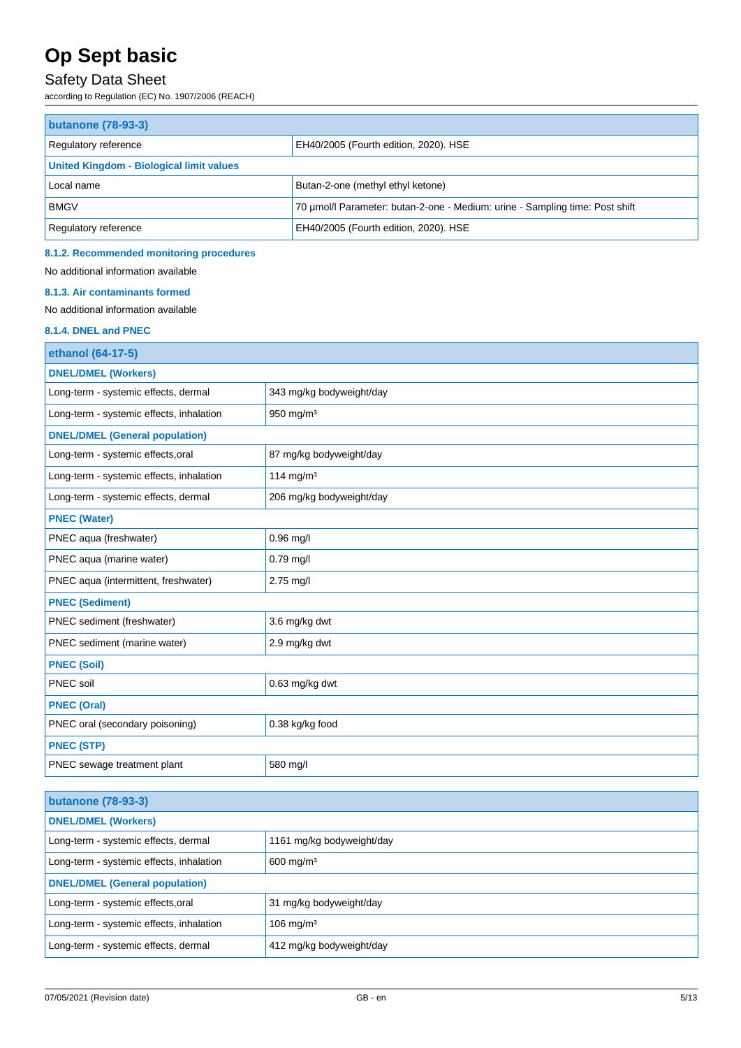## Safety Data Sheet

according to Regulation (EC) No. 1907/2006 (REACH)

| <b>butanone (78-93-3)</b>                                     |                                                                              |  |  |
|---------------------------------------------------------------|------------------------------------------------------------------------------|--|--|
| EH40/2005 (Fourth edition, 2020). HSE<br>Regulatory reference |                                                                              |  |  |
| <b>United Kingdom - Biological limit values</b>               |                                                                              |  |  |
| Local name                                                    | Butan-2-one (methyl ethyl ketone)                                            |  |  |
| <b>BMGV</b>                                                   | 70 umol/l Parameter: butan-2-one - Medium: urine - Sampling time: Post shift |  |  |
| Regulatory reference                                          | EH40/2005 (Fourth edition, 2020). HSE                                        |  |  |

#### **8.1.2. Recommended monitoring procedures**

No additional information available

#### **8.1.3. Air contaminants formed**

No additional information available

## **8.1.4. DNEL and PNEC**

| ethanol (64-17-5)                        |                          |  |
|------------------------------------------|--------------------------|--|
| <b>DNEL/DMEL (Workers)</b>               |                          |  |
| Long-term - systemic effects, dermal     | 343 mg/kg bodyweight/day |  |
| Long-term - systemic effects, inhalation | 950 mg/m <sup>3</sup>    |  |
| <b>DNEL/DMEL (General population)</b>    |                          |  |
| Long-term - systemic effects, oral       | 87 mg/kg bodyweight/day  |  |
| Long-term - systemic effects, inhalation | 114 mg/m $3$             |  |
| Long-term - systemic effects, dermal     | 206 mg/kg bodyweight/day |  |
| <b>PNEC (Water)</b>                      |                          |  |
| PNEC aqua (freshwater)                   | 0.96 mg/l                |  |
| PNEC aqua (marine water)                 | $0.79$ mg/l              |  |
| PNEC aqua (intermittent, freshwater)     | 2.75 mg/l                |  |
| <b>PNEC (Sediment)</b>                   |                          |  |
| PNEC sediment (freshwater)               | 3.6 mg/kg dwt            |  |
| PNEC sediment (marine water)             | 2.9 mg/kg dwt            |  |
| <b>PNEC (Soil)</b>                       |                          |  |
| PNEC soil                                | 0.63 mg/kg dwt           |  |
| <b>PNEC (Oral)</b>                       |                          |  |
| PNEC oral (secondary poisoning)          | 0.38 kg/kg food          |  |
| <b>PNEC (STP)</b>                        |                          |  |
| PNEC sewage treatment plant              | 580 mg/l                 |  |

| <b>butanone (78-93-3)</b>                                           |                           |  |
|---------------------------------------------------------------------|---------------------------|--|
| <b>DNEL/DMEL (Workers)</b>                                          |                           |  |
| Long-term - systemic effects, dermal                                | 1161 mg/kg bodyweight/day |  |
| Long-term - systemic effects, inhalation<br>$600$ mg/m <sup>3</sup> |                           |  |
| <b>DNEL/DMEL (General population)</b>                               |                           |  |
| Long-term - systemic effects, oral                                  | 31 mg/kg bodyweight/day   |  |
| Long-term - systemic effects, inhalation                            | $106$ mg/m <sup>3</sup>   |  |
| Long-term - systemic effects, dermal                                | 412 mg/kg bodyweight/day  |  |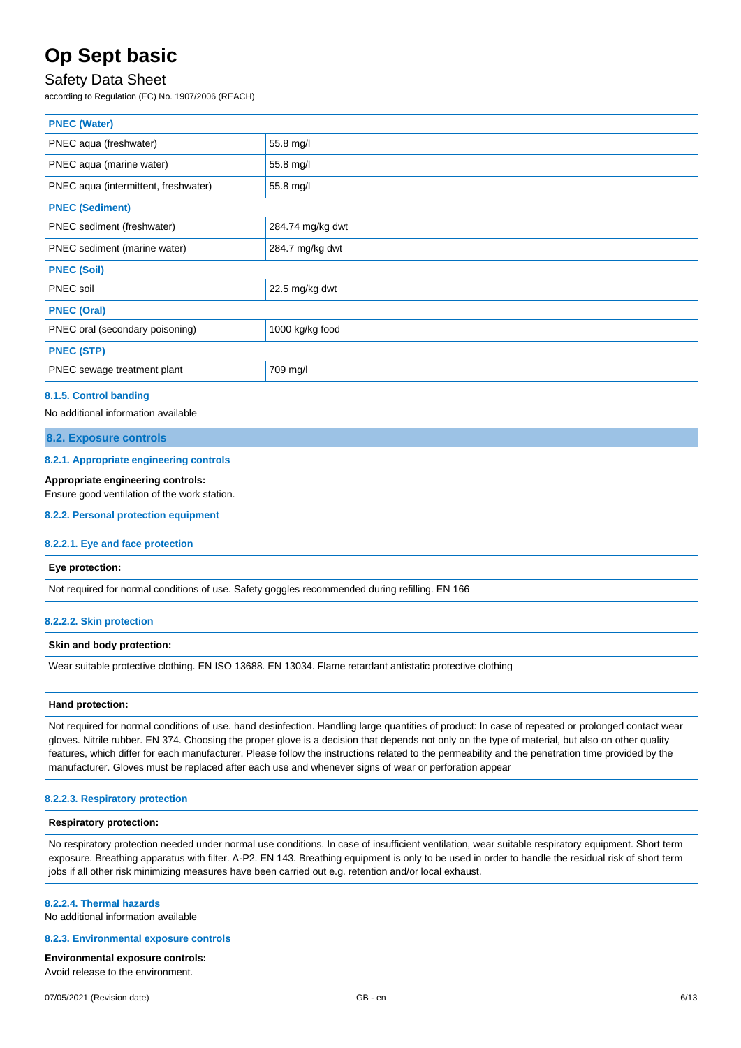## Safety Data Sheet

according to Regulation (EC) No. 1907/2006 (REACH)

| <b>PNEC (Water)</b>                  |                  |  |
|--------------------------------------|------------------|--|
| PNEC aqua (freshwater)               | 55.8 mg/l        |  |
| PNEC aqua (marine water)             | 55.8 mg/l        |  |
| PNEC aqua (intermittent, freshwater) | 55.8 mg/l        |  |
| <b>PNEC (Sediment)</b>               |                  |  |
| PNEC sediment (freshwater)           | 284.74 mg/kg dwt |  |
| PNEC sediment (marine water)         | 284.7 mg/kg dwt  |  |
| <b>PNEC (Soil)</b>                   |                  |  |
| PNEC soil                            | 22.5 mg/kg dwt   |  |
| <b>PNEC (Oral)</b>                   |                  |  |
| PNEC oral (secondary poisoning)      | 1000 kg/kg food  |  |
| <b>PNEC (STP)</b>                    |                  |  |
| PNEC sewage treatment plant          | 709 mg/l         |  |

#### **8.1.5. Control banding**

No additional information available

#### **8.2. Exposure controls**

#### **8.2.1. Appropriate engineering controls**

#### **Appropriate engineering controls:**

Ensure good ventilation of the work station.

#### **8.2.2. Personal protection equipment**

#### **8.2.2.1. Eye and face protection**

#### **Eye protection:**

Not required for normal conditions of use. Safety goggles recommended during refilling. EN 166

#### **8.2.2.2. Skin protection**

#### **Skin and body protection:**

Wear suitable protective clothing. EN ISO 13688. EN 13034. Flame retardant antistatic protective clothing

#### **Hand protection:**

Not required for normal conditions of use. hand desinfection. Handling large quantities of product: In case of repeated or prolonged contact wear gloves. Nitrile rubber. EN 374. Choosing the proper glove is a decision that depends not only on the type of material, but also on other quality features, which differ for each manufacturer. Please follow the instructions related to the permeability and the penetration time provided by the manufacturer. Gloves must be replaced after each use and whenever signs of wear or perforation appear

#### **8.2.2.3. Respiratory protection**

#### **Respiratory protection:**

No respiratory protection needed under normal use conditions. In case of insufficient ventilation, wear suitable respiratory equipment. Short term exposure. Breathing apparatus with filter. A-P2. EN 143. Breathing equipment is only to be used in order to handle the residual risk of short term jobs if all other risk minimizing measures have been carried out e.g. retention and/or local exhaust.

#### **8.2.2.4. Thermal hazards**

No additional information available

#### **8.2.3. Environmental exposure controls**

#### **Environmental exposure controls:**

Avoid release to the environment.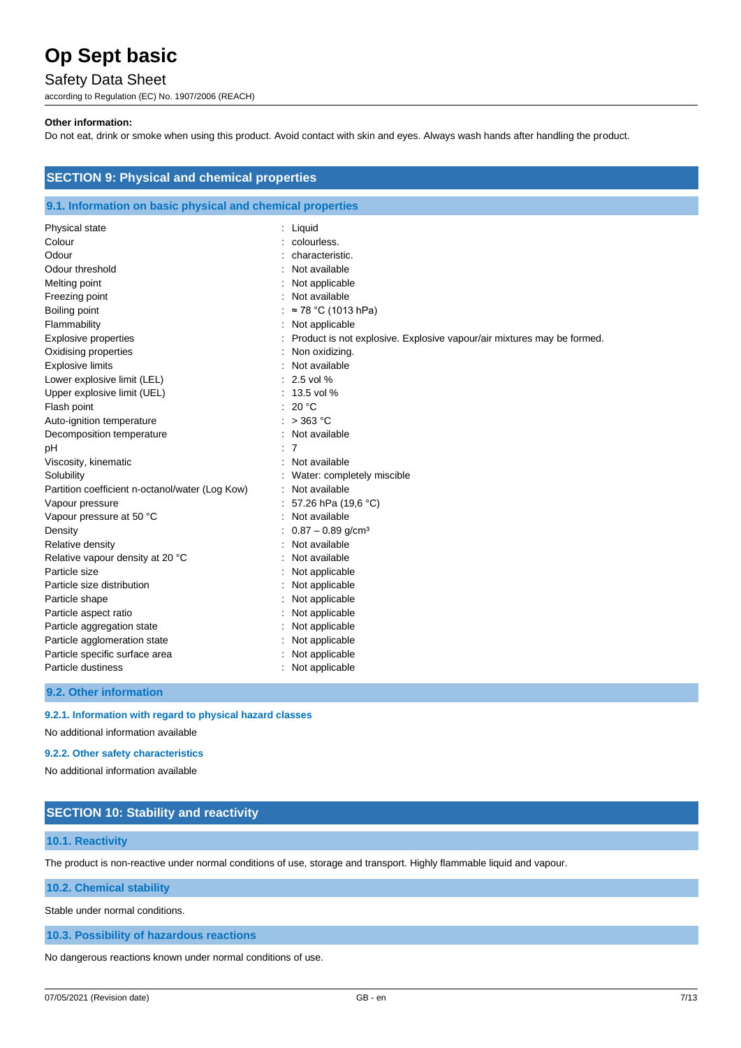## Safety Data Sheet

according to Regulation (EC) No. 1907/2006 (REACH)

#### **Other information:**

Do not eat, drink or smoke when using this product. Avoid contact with skin and eyes. Always wash hands after handling the product.

| <b>SECTION 9: Physical and chemical properties</b><br>9.1. Information on basic physical and chemical properties |                                                                        |  |  |
|------------------------------------------------------------------------------------------------------------------|------------------------------------------------------------------------|--|--|
|                                                                                                                  |                                                                        |  |  |
| Colour                                                                                                           | colourless.                                                            |  |  |
| Odour                                                                                                            | characteristic.                                                        |  |  |
| Odour threshold                                                                                                  | Not available                                                          |  |  |
| Melting point                                                                                                    | Not applicable                                                         |  |  |
| Freezing point                                                                                                   | Not available                                                          |  |  |
| Boiling point                                                                                                    | ≈ 78 °C (1013 hPa)                                                     |  |  |
| Flammability                                                                                                     | Not applicable                                                         |  |  |
| <b>Explosive properties</b>                                                                                      | Product is not explosive. Explosive vapour/air mixtures may be formed. |  |  |
| Oxidising properties                                                                                             | Non oxidizing.                                                         |  |  |
| <b>Explosive limits</b>                                                                                          | Not available                                                          |  |  |
| Lower explosive limit (LEL)                                                                                      | 2.5 vol %                                                              |  |  |
| Upper explosive limit (UEL)                                                                                      | 13.5 vol %                                                             |  |  |
| Flash point                                                                                                      | 20 °C                                                                  |  |  |
| Auto-ignition temperature                                                                                        | $>$ 363 °C                                                             |  |  |
| Decomposition temperature                                                                                        | Not available                                                          |  |  |
| pH                                                                                                               | 7                                                                      |  |  |
| Viscosity, kinematic                                                                                             | Not available                                                          |  |  |
| Solubility                                                                                                       | Water: completely miscible                                             |  |  |
| Partition coefficient n-octanol/water (Log Kow)                                                                  | Not available                                                          |  |  |
| Vapour pressure                                                                                                  | 57.26 hPa (19,6 °C)                                                    |  |  |
| Vapour pressure at 50 °C                                                                                         | Not available                                                          |  |  |
| Density                                                                                                          | $0.87 - 0.89$ g/cm <sup>3</sup>                                        |  |  |
| Relative density                                                                                                 | Not available                                                          |  |  |
| Relative vapour density at 20 °C                                                                                 | Not available                                                          |  |  |
| Particle size                                                                                                    | Not applicable                                                         |  |  |
| Particle size distribution                                                                                       | Not applicable                                                         |  |  |
| Particle shape                                                                                                   | Not applicable                                                         |  |  |
| Particle aspect ratio                                                                                            | Not applicable                                                         |  |  |
| Particle aggregation state                                                                                       | Not applicable                                                         |  |  |
| Particle agglomeration state                                                                                     | Not applicable                                                         |  |  |
| Particle specific surface area                                                                                   | Not applicable                                                         |  |  |
| Particle dustiness                                                                                               | Not applicable                                                         |  |  |

**9.2. Other information**

## **9.2.1. Information with regard to physical hazard classes**

No additional information available

#### **9.2.2. Other safety characteristics**

No additional information available

## **SECTION 10: Stability and reactivity**

#### **10.1. Reactivity**

The product is non-reactive under normal conditions of use, storage and transport. Highly flammable liquid and vapour.

#### **10.2. Chemical stability**

Stable under normal conditions.

#### **10.3. Possibility of hazardous reactions**

No dangerous reactions known under normal conditions of use.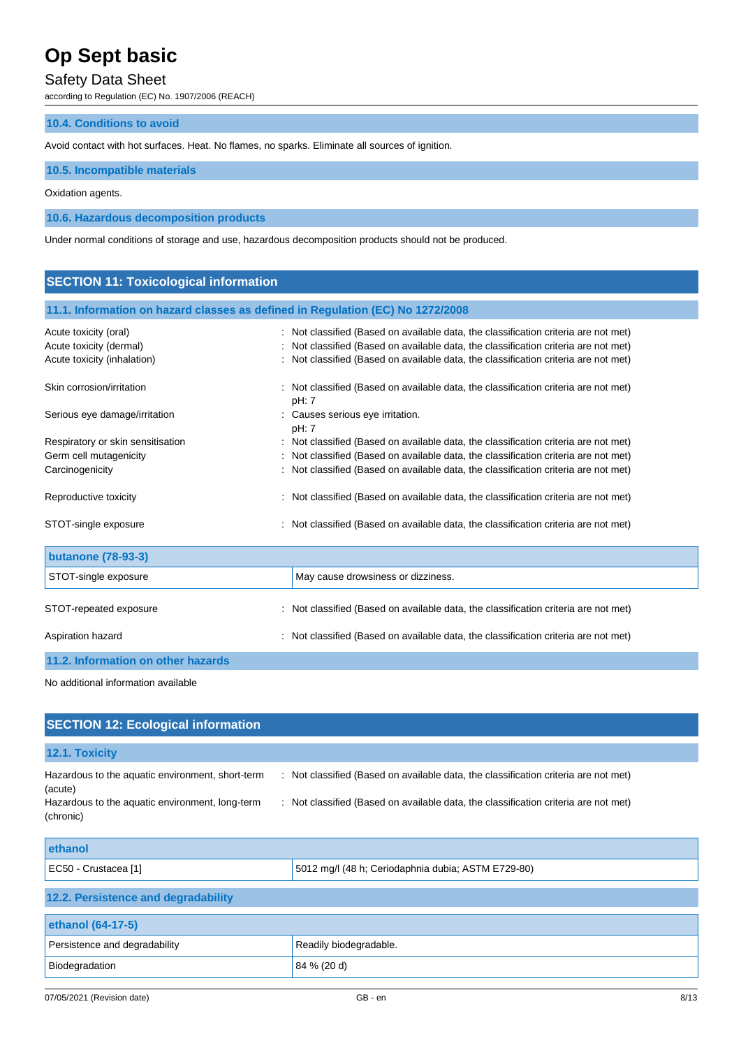## Safety Data Sheet

according to Regulation (EC) No. 1907/2006 (REACH)

#### **10.4. Conditions to avoid**

Avoid contact with hot surfaces. Heat. No flames, no sparks. Eliminate all sources of ignition.

#### **10.5. Incompatible materials**

#### Oxidation agents.

**10.6. Hazardous decomposition products**

Under normal conditions of storage and use, hazardous decomposition products should not be produced.

### **SECTION 11: Toxicological information**

#### **11.1. Information on hazard classes as defined in Regulation (EC) No 1272/2008**

| Acute toxicity (oral)              | Not classified (Based on available data, the classification criteria are not met)          |
|------------------------------------|--------------------------------------------------------------------------------------------|
| Acute toxicity (dermal)            | Not classified (Based on available data, the classification criteria are not met)          |
| Acute toxicity (inhalation)        | Not classified (Based on available data, the classification criteria are not met)          |
| Skin corrosion/irritation          | Not classified (Based on available data, the classification criteria are not met)<br>pH: 7 |
| Serious eye damage/irritation      | Causes serious eye irritation.<br>pH: 7                                                    |
| Respiratory or skin sensitisation  | Not classified (Based on available data, the classification criteria are not met)          |
| Germ cell mutagenicity             | Not classified (Based on available data, the classification criteria are not met)          |
| Carcinogenicity                    | Not classified (Based on available data, the classification criteria are not met)          |
| Reproductive toxicity              | : Not classified (Based on available data, the classification criteria are not met)        |
| STOT-single exposure               | : Not classified (Based on available data, the classification criteria are not met)        |
| <b>butanone (78-93-3)</b>          |                                                                                            |
| STOT-single exposure               | May cause drowsiness or dizziness.                                                         |
| STOT-repeated exposure             | Not classified (Based on available data, the classification criteria are not met)          |
| Aspiration hazard                  | Not classified (Based on available data, the classification criteria are not met)          |
| 11.2. Information on other hazards |                                                                                            |

No additional information available

| <b>SECTION 12: Ecological information</b>                    |                                                                                     |
|--------------------------------------------------------------|-------------------------------------------------------------------------------------|
| 12.1. Toxicity                                               |                                                                                     |
| Hazardous to the aquatic environment, short-term<br>(acute)  | : Not classified (Based on available data, the classification criteria are not met) |
| Hazardous to the aquatic environment, long-term<br>(chronic) | : Not classified (Based on available data, the classification criteria are not met) |
| ethanol                                                      |                                                                                     |
| EC50 - Crustacea [1]                                         | 5012 mg/l (48 h; Ceriodaphnia dubia; ASTM E729-80)                                  |

| 12.2. Persistence and degradability |                        |  |  |
|-------------------------------------|------------------------|--|--|
|                                     |                        |  |  |
| ethanol (64-17-5)                   |                        |  |  |
| Persistence and degradability       | Readily biodegradable. |  |  |
| Biodegradation                      | 84 % (20 d)            |  |  |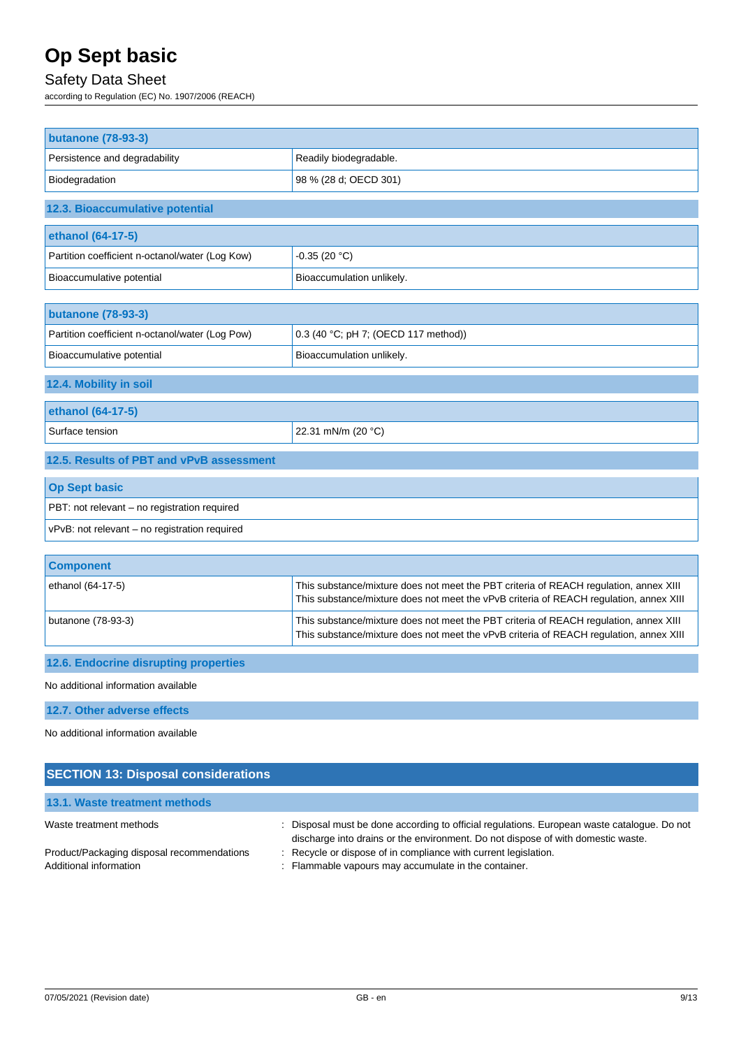## Safety Data Sheet

according to Regulation (EC) No. 1907/2006 (REACH)

| <b>butanone (78-93-3)</b>                       |                                                                                                                                                                                 |
|-------------------------------------------------|---------------------------------------------------------------------------------------------------------------------------------------------------------------------------------|
| Persistence and degradability                   | Readily biodegradable.                                                                                                                                                          |
| Biodegradation                                  | 98 % (28 d; OECD 301)                                                                                                                                                           |
| 12.3. Bioaccumulative potential                 |                                                                                                                                                                                 |
| ethanol (64-17-5)                               |                                                                                                                                                                                 |
| Partition coefficient n-octanol/water (Log Kow) | $-0.35(20 °C)$                                                                                                                                                                  |
| Bioaccumulative potential                       | Bioaccumulation unlikely.                                                                                                                                                       |
| <b>butanone (78-93-3)</b>                       |                                                                                                                                                                                 |
| Partition coefficient n-octanol/water (Log Pow) | 0.3 (40 °C; pH 7; (OECD 117 method))                                                                                                                                            |
| Bioaccumulative potential                       | Bioaccumulation unlikely.                                                                                                                                                       |
| 12.4. Mobility in soil                          |                                                                                                                                                                                 |
| ethanol (64-17-5)                               |                                                                                                                                                                                 |
| Surface tension                                 | 22.31 mN/m (20 °C)                                                                                                                                                              |
| 12.5. Results of PBT and vPvB assessment        |                                                                                                                                                                                 |
| <b>Op Sept basic</b>                            |                                                                                                                                                                                 |
| PBT: not relevant - no registration required    |                                                                                                                                                                                 |
| vPvB: not relevant - no registration required   |                                                                                                                                                                                 |
| <b>Component</b>                                |                                                                                                                                                                                 |
| ethanol (64-17-5)                               | This substance/mixture does not meet the PBT criteria of REACH regulation, annex XIII<br>This substance/mixture does not meet the vPvB criteria of REACH regulation, annex XIII |
| butanone (78-93-3)                              | This substance/mixture does not meet the PBT criteria of REACH regulation, annex XIII<br>This substance/mixture does not meet the vPvB criteria of REACH regulation, annex XIII |
| 12.6. Endocrine disrupting properties           |                                                                                                                                                                                 |
| No additional information available             |                                                                                                                                                                                 |
| 12.7. Other adverse effects                     |                                                                                                                                                                                 |
| No additional information available             |                                                                                                                                                                                 |

## **SECTION 13: Disposal considerations**

**13.1. Waste treatment methods**

| <b>TV.I. MOORE HOGHINII, MONDO</b>         |                                                                                           |
|--------------------------------------------|-------------------------------------------------------------------------------------------|
| Waste treatment methods                    | Disposal must be done according to official regulations. European waste catalogue. Do not |
|                                            | discharge into drains or the environment. Do not dispose of with domestic waste.          |
| Product/Packaging disposal recommendations | : Recycle or dispose of in compliance with current legislation.                           |
| Additional information                     | : Flammable vapours may accumulate in the container.                                      |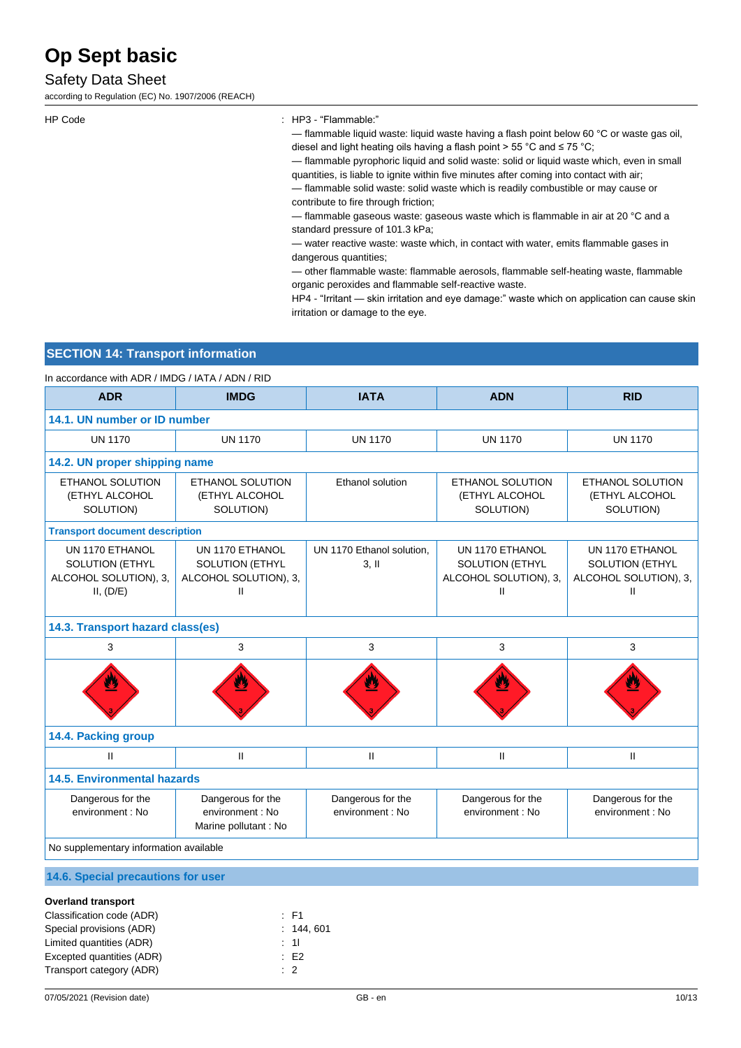## Safety Data Sheet

according to Regulation (EC) No. 1907/2006 (REACH)

HP Code : HP3 - "Flammable:"

— flammable liquid waste: liquid waste having a flash point below 60 °C or waste gas oil, diesel and light heating oils having a flash point > 55 °C and ≤ 75 °C;

— flammable pyrophoric liquid and solid waste: solid or liquid waste which, even in small quantities, is liable to ignite within five minutes after coming into contact with air;

— flammable solid waste: solid waste which is readily combustible or may cause or contribute to fire through friction;

— flammable gaseous waste: gaseous waste which is flammable in air at 20 °C and a standard pressure of 101.3 kPa;

— water reactive waste: waste which, in contact with water, emits flammable gases in dangerous quantities;

— other flammable waste: flammable aerosols, flammable self-heating waste, flammable organic peroxides and flammable self-reactive waste.

HP4 - "Irritant — skin irritation and eye damage:" waste which on application can cause skin irritation or damage to the eye.

### **SECTION 14: Transport information**

In accordance with ADR / IMDG / IATA / ADN / RID

| <b>ADR</b>                                                                                                     | <b>IMDG</b>                                                             | <b>IATA</b>                           | <b>ADN</b>                                                               | <b>RID</b>                                                              |
|----------------------------------------------------------------------------------------------------------------|-------------------------------------------------------------------------|---------------------------------------|--------------------------------------------------------------------------|-------------------------------------------------------------------------|
|                                                                                                                | 14.1. UN number or ID number                                            |                                       |                                                                          |                                                                         |
| <b>UN 1170</b>                                                                                                 | <b>UN 1170</b>                                                          | <b>UN 1170</b>                        | <b>UN 1170</b>                                                           | <b>UN 1170</b>                                                          |
| 14.2. UN proper shipping name                                                                                  |                                                                         |                                       |                                                                          |                                                                         |
| ETHANOL SOLUTION<br>(ETHYL ALCOHOL<br>SOLUTION)                                                                | <b>ETHANOL SOLUTION</b><br>(ETHYL ALCOHOL<br>SOLUTION)                  | Ethanol solution                      | <b>ETHANOL SOLUTION</b><br>(ETHYL ALCOHOL<br>SOLUTION)                   | ETHANOL SOLUTION<br>(ETHYL ALCOHOL<br>SOLUTION)                         |
| <b>Transport document description</b>                                                                          |                                                                         |                                       |                                                                          |                                                                         |
| UN 1170 ETHANOL<br>SOLUTION (ETHYL<br>ALCOHOL SOLUTION), 3,<br>II, (D/E)                                       | UN 1170 ETHANOL<br><b>SOLUTION (ETHYL</b><br>ALCOHOL SOLUTION), 3,<br>Ш | UN 1170 Ethanol solution,<br>$3,$ II  | UN 1170 ETHANOL<br><b>SOLUTION (ETHYL</b><br>ALCOHOL SOLUTION), 3,<br>Ш. | UN 1170 ETHANOL<br><b>SOLUTION (ETHYL</b><br>ALCOHOL SOLUTION), 3,<br>Ш |
| 14.3. Transport hazard class(es)                                                                               |                                                                         |                                       |                                                                          |                                                                         |
| 3                                                                                                              | 3                                                                       | 3                                     | 3                                                                        | 3                                                                       |
|                                                                                                                |                                                                         |                                       |                                                                          |                                                                         |
| 14.4. Packing group                                                                                            |                                                                         |                                       |                                                                          |                                                                         |
| $\mathbf{H}$                                                                                                   | $\mathbf{H}$                                                            | $\mathbf{I}$                          | $\mathbf{H}$                                                             | $\mathbf{II}$                                                           |
| <b>14.5. Environmental hazards</b>                                                                             |                                                                         |                                       |                                                                          |                                                                         |
| Dangerous for the<br>environment : No                                                                          | Dangerous for the<br>environment : No<br>Marine pollutant : No          | Dangerous for the<br>environment : No | Dangerous for the<br>environment : No                                    | Dangerous for the<br>environment : No                                   |
| No supplementary information available                                                                         |                                                                         |                                       |                                                                          |                                                                         |
| 14.6. Special precautions for user                                                                             |                                                                         |                                       |                                                                          |                                                                         |
| <b>Overland transport</b><br>Classification code (ADR)<br>Special provisions (ADR)<br>Limited quantities (ADR) | $E$ F1<br>: 144, 601<br>$\therefore$ 11                                 |                                       |                                                                          |                                                                         |

Excepted quantities (ADR) : E2 Transport category (ADR) : 2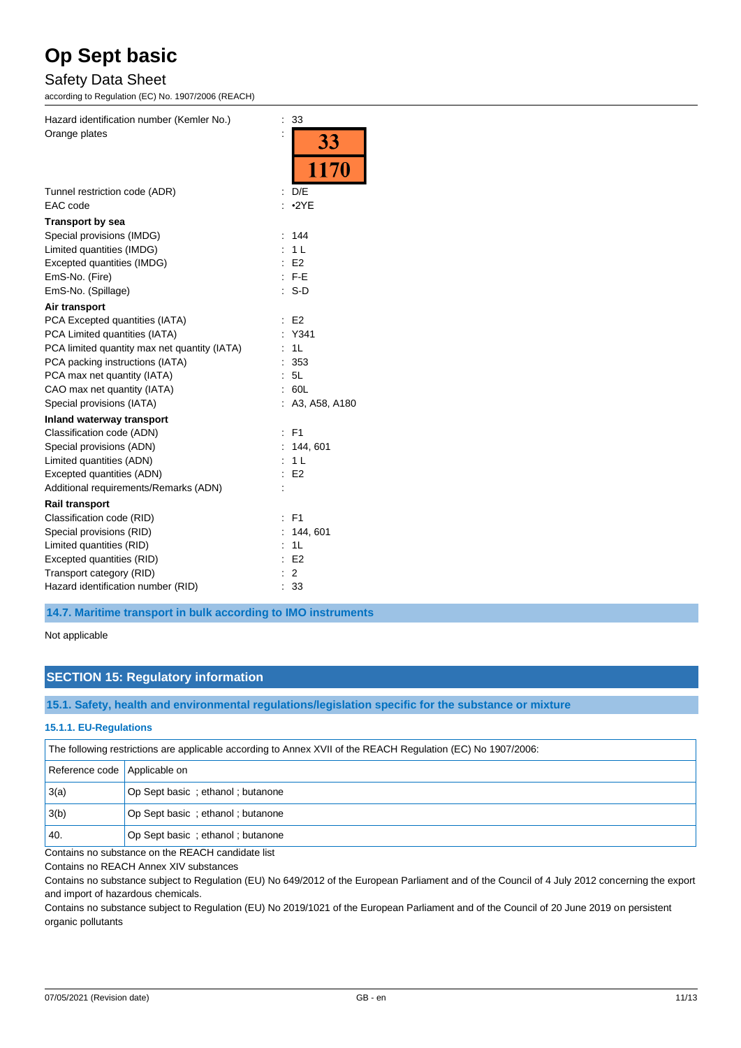## Safety Data Sheet

according to Regulation (EC) No. 1907/2006 (REACH)

| Hazard identification number (Kemler No.)    | $\vdots$<br>33                         |
|----------------------------------------------|----------------------------------------|
| Orange plates                                | $\ddot{\phantom{a}}$<br><b>33</b>      |
|                                              | 1170                                   |
| Tunnel restriction code (ADR)                | D/E                                    |
| EAC code                                     | •2YE                                   |
| <b>Transport by sea</b>                      |                                        |
| Special provisions (IMDG)                    | 144<br>t                               |
| Limited quantities (IMDG)                    | 1 <sub>L</sub>                         |
| Excepted quantities (IMDG)                   | E <sub>2</sub>                         |
| EmS-No. (Fire)                               | $F-E$<br>t                             |
| EmS-No. (Spillage)                           | $S-D$                                  |
| Air transport                                |                                        |
| PCA Excepted quantities (IATA)               | E <sub>2</sub><br>$\ddot{\phantom{a}}$ |
| PCA Limited quantities (IATA)                | Y341                                   |
| PCA limited quantity max net quantity (IATA) | 1L                                     |
| PCA packing instructions (IATA)              | 353                                    |
| PCA max net quantity (IATA)                  | 5L                                     |
| CAO max net quantity (IATA)                  | 60L                                    |
| Special provisions (IATA)                    | A3, A58, A180                          |
| Inland waterway transport                    |                                        |
| Classification code (ADN)                    | F <sub>1</sub><br>t                    |
| Special provisions (ADN)                     | 144, 601                               |
| Limited quantities (ADN)                     | 1 <sub>L</sub>                         |
| Excepted quantities (ADN)                    | E <sub>2</sub>                         |
| Additional requirements/Remarks (ADN)        |                                        |
| <b>Rail transport</b>                        |                                        |
| Classification code (RID)                    | F <sub>1</sub>                         |
| Special provisions (RID)                     | 144, 601                               |
| Limited quantities (RID)                     | 1L                                     |
| Excepted quantities (RID)                    | E <sub>2</sub><br>$\ddot{\phantom{a}}$ |
| Transport category (RID)                     | 2                                      |
| Hazard identification number (RID)           | 33                                     |

**14.7. Maritime transport in bulk according to IMO instruments**

Not applicable

### **SECTION 15: Regulatory information**

**15.1. Safety, health and environmental regulations/legislation specific for the substance or mixture**

#### **15.1.1. EU-Regulations**

The following restrictions are applicable according to Annex XVII of the REACH Regulation (EC) No 1907/2006:

| Reference code Applicable on |                                  |
|------------------------------|----------------------------------|
| 3(a)                         | Op Sept basic; ethanol; butanone |
| 3(b)                         | Op Sept basic; ethanol; butanone |
| 40.                          | Op Sept basic; ethanol; butanone |

Contains no substance on the REACH candidate list

Contains no REACH Annex XIV substances

Contains no substance subject to Regulation (EU) No 649/2012 of the European Parliament and of the Council of 4 July 2012 concerning the export and import of hazardous chemicals.

Contains no substance subject to Regulation (EU) No 2019/1021 of the European Parliament and of the Council of 20 June 2019 on persistent organic pollutants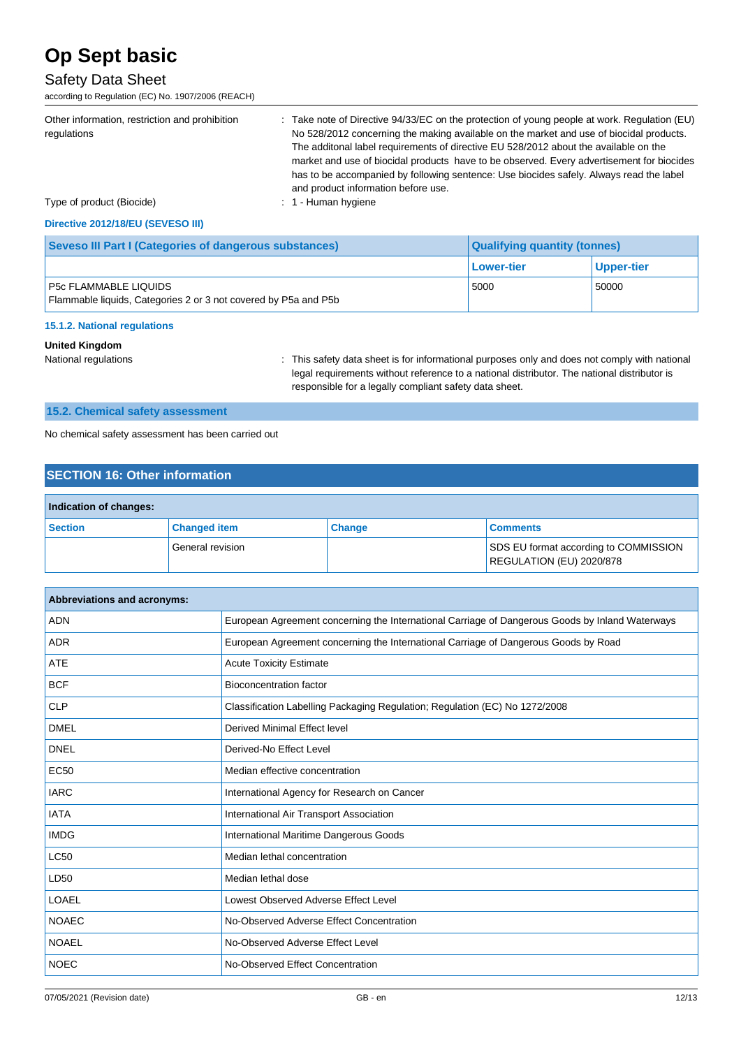## Safety Data Sheet

according to Regulation (EC) No. 1907/2006 (REACH)

| Other information, restriction and prohibition<br>regulations<br>Type of product (Biocide) | : Take note of Directive 94/33/EC on the protection of young people at work. Regulation (EU)<br>No 528/2012 concerning the making available on the market and use of biocidal products.<br>The additonal label requirements of directive EU 528/2012 about the available on the<br>market and use of biocidal products have to be observed. Every advertisement for biocides<br>has to be accompanied by following sentence: Use biocides safely. Always read the label<br>and product information before use.<br>$: 1$ - Human hygiene |
|--------------------------------------------------------------------------------------------|-----------------------------------------------------------------------------------------------------------------------------------------------------------------------------------------------------------------------------------------------------------------------------------------------------------------------------------------------------------------------------------------------------------------------------------------------------------------------------------------------------------------------------------------|
| Directive 2012/18/EU (SEVESO III)                                                          |                                                                                                                                                                                                                                                                                                                                                                                                                                                                                                                                         |

### **Seveso III Part I (Categories of dangerous substances) Qualifying quantity (tonnes) Lower-tier Upper-tier** P5c FLAMMABLE LIQUIDS Flammable liquids, Categories 2 or 3 not covered by P5a and P5b 5000 50000

#### **15.1.2. National regulations**

### **United Kingdom**

National regulations **interval in the same of the safety data sheet is for informational purposes only and does not comply with national purposes** legal requirements without reference to a national distributor. The national distributor is responsible for a legally compliant safety data sheet.

## **15.2. Chemical safety assessment**

No chemical safety assessment has been carried out

### **SECTION 16: Other information**

| Indication of changes: |                     |               |                                                                   |
|------------------------|---------------------|---------------|-------------------------------------------------------------------|
| <b>Section</b>         | <b>Changed item</b> | <b>Change</b> | <b>Comments</b>                                                   |
|                        | General revision    |               | SDS EU format according to COMMISSION<br>REGULATION (EU) 2020/878 |

| Abbreviations and acronyms: |                                                                                                 |
|-----------------------------|-------------------------------------------------------------------------------------------------|
| <b>ADN</b>                  | European Agreement concerning the International Carriage of Dangerous Goods by Inland Waterways |
| <b>ADR</b>                  | European Agreement concerning the International Carriage of Dangerous Goods by Road             |
| <b>ATE</b>                  | <b>Acute Toxicity Estimate</b>                                                                  |
| <b>BCF</b>                  | Bioconcentration factor                                                                         |
| <b>CLP</b>                  | Classification Labelling Packaging Regulation; Regulation (EC) No 1272/2008                     |
| <b>DMEL</b>                 | Derived Minimal Effect level                                                                    |
| <b>DNEL</b>                 | Derived-No Effect Level                                                                         |
| <b>EC50</b>                 | Median effective concentration                                                                  |
| <b>IARC</b>                 | International Agency for Research on Cancer                                                     |
| <b>IATA</b>                 | International Air Transport Association                                                         |
| <b>IMDG</b>                 | International Maritime Dangerous Goods                                                          |
| <b>LC50</b>                 | Median lethal concentration                                                                     |
| LD50                        | Median lethal dose                                                                              |
| <b>LOAEL</b>                | Lowest Observed Adverse Effect Level                                                            |
| <b>NOAEC</b>                | No-Observed Adverse Effect Concentration                                                        |
| <b>NOAEL</b>                | No-Observed Adverse Effect Level                                                                |
| <b>NOEC</b>                 | No-Observed Effect Concentration                                                                |